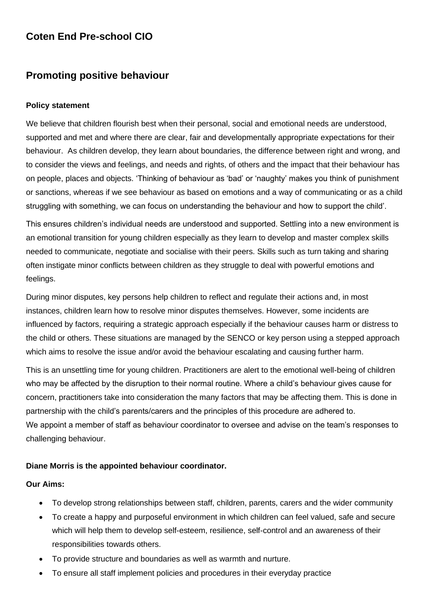# **Coten End Pre-school CIO**

## **Promoting positive behaviour**

#### **Policy statement**

We believe that children flourish best when their personal, social and emotional needs are understood, supported and met and where there are clear, fair and developmentally appropriate expectations for their behaviour. As children develop, they learn about boundaries, the difference between right and wrong, and to consider the views and feelings, and needs and rights, of others and the impact that their behaviour has on people, places and objects. 'Thinking of behaviour as 'bad' or 'naughty' makes you think of punishment or sanctions, whereas if we see behaviour as based on emotions and a way of communicating or as a child struggling with something, we can focus on understanding the behaviour and how to support the child'.

This ensures children's individual needs are understood and supported. Settling into a new environment is an emotional transition for young children especially as they learn to develop and master complex skills needed to communicate, negotiate and socialise with their peers. Skills such as turn taking and sharing often instigate minor conflicts between children as they struggle to deal with powerful emotions and feelings.

During minor disputes, key persons help children to reflect and regulate their actions and, in most instances, children learn how to resolve minor disputes themselves. However, some incidents are influenced by factors, requiring a strategic approach especially if the behaviour causes harm or distress to the child or others. These situations are managed by the SENCO or key person using a stepped approach which aims to resolve the issue and/or avoid the behaviour escalating and causing further harm.

This is an unsettling time for young children. Practitioners are alert to the emotional well-being of children who may be affected by the disruption to their normal routine. Where a child's behaviour gives cause for concern, practitioners take into consideration the many factors that may be affecting them. This is done in partnership with the child's parents/carers and the principles of this procedure are adhered to. We appoint a member of staff as behaviour coordinator to oversee and advise on the team's responses to challenging behaviour.

#### **Diane Morris is the appointed behaviour coordinator.**

#### **Our Aims:**

- To develop strong relationships between staff, children, parents, carers and the wider community
- To create a happy and purposeful environment in which children can feel valued, safe and secure which will help them to develop self-esteem, resilience, self-control and an awareness of their responsibilities towards others.
- To provide structure and boundaries as well as warmth and nurture.
- To ensure all staff implement policies and procedures in their everyday practice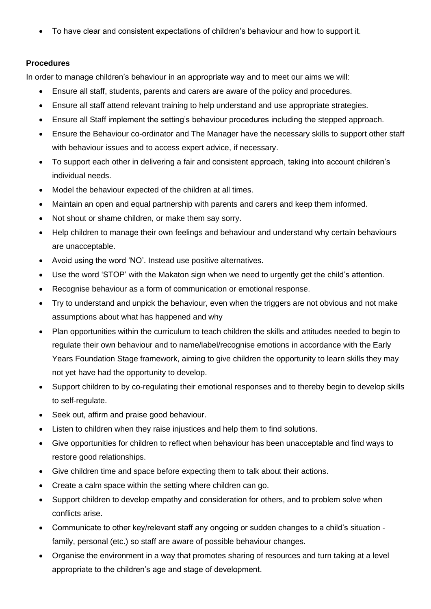• To have clear and consistent expectations of children's behaviour and how to support it.

#### **Procedures**

In order to manage children's behaviour in an appropriate way and to meet our aims we will:

- Ensure all staff, students, parents and carers are aware of the policy and procedures.
- Ensure all staff attend relevant training to help understand and use appropriate strategies.
- Ensure all Staff implement the setting's behaviour procedures including the stepped approach.
- Ensure the Behaviour co-ordinator and The Manager have the necessary skills to support other staff with behaviour issues and to access expert advice, if necessary.
- To support each other in delivering a fair and consistent approach, taking into account children's individual needs.
- Model the behaviour expected of the children at all times.
- Maintain an open and equal partnership with parents and carers and keep them informed.
- Not shout or shame children, or make them say sorry.
- Help children to manage their own feelings and behaviour and understand why certain behaviours are unacceptable.
- Avoid using the word 'NO'. Instead use positive alternatives.
- Use the word 'STOP' with the Makaton sign when we need to urgently get the child's attention.
- Recognise behaviour as a form of communication or emotional response.
- Try to understand and unpick the behaviour, even when the triggers are not obvious and not make assumptions about what has happened and why
- Plan opportunities within the curriculum to teach children the skills and attitudes needed to begin to regulate their own behaviour and to name/label/recognise emotions in accordance with the Early Years Foundation Stage framework, aiming to give children the opportunity to learn skills they may not yet have had the opportunity to develop.
- Support children to by co-regulating their emotional responses and to thereby begin to develop skills to self-regulate.
- Seek out, affirm and praise good behaviour.
- Listen to children when they raise injustices and help them to find solutions.
- Give opportunities for children to reflect when behaviour has been unacceptable and find ways to restore good relationships.
- Give children time and space before expecting them to talk about their actions.
- Create a calm space within the setting where children can go.
- Support children to develop empathy and consideration for others, and to problem solve when conflicts arise.
- Communicate to other key/relevant staff any ongoing or sudden changes to a child's situation family, personal (etc.) so staff are aware of possible behaviour changes.
- Organise the environment in a way that promotes sharing of resources and turn taking at a level appropriate to the children's age and stage of development.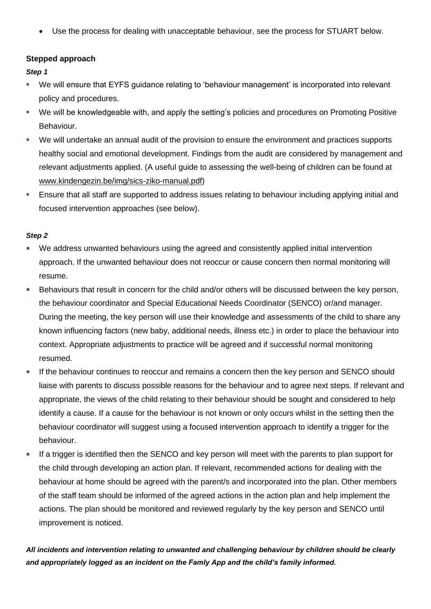• Use the process for dealing with unacceptable behaviour, see the process for STUART below.

## **Stepped approach**

*Step 1*

- We will ensure that EYFS guidance relating to 'behaviour management' is incorporated into relevant policy and procedures.
- We will be knowledgeable with, and apply the setting's policies and procedures on Promoting Positive Behaviour.
- We will undertake an annual audit of the provision to ensure the environment and practices supports healthy social and emotional development. Findings from the audit are considered by management and relevant adjustments applied. (A useful guide to assessing the well-being of children can be found at [www.kindengezin.be/img/sics-ziko-manual.pdf\)](http://www.kindengezin.be/img/sics-ziko-manual.pdf)
- **Ensure that all staff are supported to address issues relating to behaviour including applying initial and** focused intervention approaches (see below).

#### *Step 2*

- We address unwanted behaviours using the agreed and consistently applied initial intervention approach. If the unwanted behaviour does not reoccur or cause concern then normal monitoring will resume.
- **EXECT Behaviours that result in concern for the child and/or others will be discussed between the key person,** the behaviour coordinator and Special Educational Needs Coordinator (SENCO) or/and manager. During the meeting, the key person will use their knowledge and assessments of the child to share any known influencing factors (new baby, additional needs, illness etc.) in order to place the behaviour into context. Appropriate adjustments to practice will be agreed and if successful normal monitoring resumed.
- **EXTERN** If the behaviour continues to reoccur and remains a concern then the key person and SENCO should liaise with parents to discuss possible reasons for the behaviour and to agree next steps. If relevant and appropriate, the views of the child relating to their behaviour should be sought and considered to help identify a cause. If a cause for the behaviour is not known or only occurs whilst in the setting then the behaviour coordinator will suggest using a focused intervention approach to identify a trigger for the behaviour.
- If a trigger is identified then the SENCO and key person will meet with the parents to plan support for the child through developing an action plan. If relevant, recommended actions for dealing with the behaviour at home should be agreed with the parent/s and incorporated into the plan. Other members of the staff team should be informed of the agreed actions in the action plan and help implement the actions. The plan should be monitored and reviewed regularly by the key person and SENCO until improvement is noticed.

*All incidents and intervention relating to unwanted and challenging behaviour by children should be clearly and appropriately logged as an incident on the Famly App and the child's family informed.*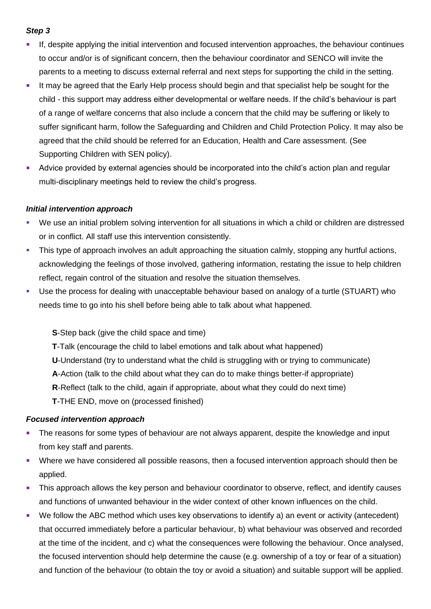## *Step 3*

- If, despite applying the initial intervention and focused intervention approaches, the behaviour continues to occur and/or is of significant concern, then the behaviour coordinator and SENCO will invite the parents to a meeting to discuss external referral and next steps for supporting the child in the setting.
- **.** It may be agreed that the Early Help process should begin and that specialist help be sought for the child - this support may address either developmental or welfare needs. If the child's behaviour is part of a range of welfare concerns that also include a concern that the child may be suffering or likely to suffer significant harm, follow the Safeguarding and Children and Child Protection Policy. It may also be agreed that the child should be referred for an Education, Health and Care assessment. (See Supporting Children with SEN policy).
- **E** Advice provided by external agencies should be incorporated into the child's action plan and regular multi-disciplinary meetings held to review the child's progress.

#### *Initial intervention approach*

- We use an initial problem solving intervention for all situations in which a child or children are distressed or in conflict. All staff use this intervention consistently.
- **•** This type of approach involves an adult approaching the situation calmly, stopping any hurtful actions, acknowledging the feelings of those involved, gathering information, restating the issue to help children reflect, regain control of the situation and resolve the situation themselves.
- Use the process for dealing with unacceptable behaviour based on analogy of a turtle (STUART) who needs time to go into his shell before being able to talk about what happened.

**S**-Step back (give the child space and time)

**T**-Talk (encourage the child to label emotions and talk about what happened)

**U**-Understand (try to understand what the child is struggling with or trying to communicate)

**A**-Action (talk to the child about what they can do to make things better-if appropriate)

**R**-Reflect (talk to the child, again if appropriate, about what they could do next time)

**T**-THE END, move on (processed finished)

#### *Focused intervention approach*

- The reasons for some types of behaviour are not always apparent, despite the knowledge and input from key staff and parents.
- Where we have considered all possible reasons, then a focused intervention approach should then be applied.
- **•** This approach allows the key person and behaviour coordinator to observe, reflect, and identify causes and functions of unwanted behaviour in the wider context of other known influences on the child.
- We follow the ABC method which uses key observations to identify a) an event or activity (antecedent) that occurred immediately before a particular behaviour, b) what behaviour was observed and recorded at the time of the incident, and c) what the consequences were following the behaviour. Once analysed, the focused intervention should help determine the cause (e.g. ownership of a toy or fear of a situation) and function of the behaviour (to obtain the toy or avoid a situation) and suitable support will be applied.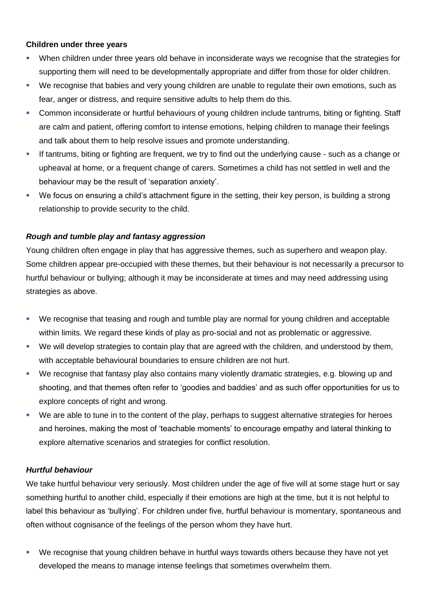#### **Children under three years**

- When children under three years old behave in inconsiderate ways we recognise that the strategies for supporting them will need to be developmentally appropriate and differ from those for older children.
- We recognise that babies and very young children are unable to regulate their own emotions, such as fear, anger or distress, and require sensitive adults to help them do this.
- Common inconsiderate or hurtful behaviours of young children include tantrums, biting or fighting. Staff are calm and patient, offering comfort to intense emotions, helping children to manage their feelings and talk about them to help resolve issues and promote understanding.
- If tantrums, biting or fighting are frequent, we try to find out the underlying cause such as a change or upheaval at home, or a frequent change of carers. Sometimes a child has not settled in well and the behaviour may be the result of 'separation anxiety'.
- We focus on ensuring a child's attachment figure in the setting, their key person, is building a strong relationship to provide security to the child.

## *Rough and tumble play and fantasy aggression*

Young children often engage in play that has aggressive themes, such as superhero and weapon play. Some children appear pre-occupied with these themes, but their behaviour is not necessarily a precursor to hurtful behaviour or bullying; although it may be inconsiderate at times and may need addressing using strategies as above.

- We recognise that teasing and rough and tumble play are normal for young children and acceptable within limits. We regard these kinds of play as pro-social and not as problematic or aggressive.
- We will develop strategies to contain play that are agreed with the children, and understood by them, with acceptable behavioural boundaries to ensure children are not hurt.
- We recognise that fantasy play also contains many violently dramatic strategies, e.g. blowing up and shooting, and that themes often refer to 'goodies and baddies' and as such offer opportunities for us to explore concepts of right and wrong.
- We are able to tune in to the content of the play, perhaps to suggest alternative strategies for heroes and heroines, making the most of 'teachable moments' to encourage empathy and lateral thinking to explore alternative scenarios and strategies for conflict resolution.

## *Hurtful behaviour*

We take hurtful behaviour very seriously. Most children under the age of five will at some stage hurt or say something hurtful to another child, especially if their emotions are high at the time, but it is not helpful to label this behaviour as 'bullying'. For children under five, hurtful behaviour is momentary, spontaneous and often without cognisance of the feelings of the person whom they have hurt.

We recognise that young children behave in hurtful ways towards others because they have not yet developed the means to manage intense feelings that sometimes overwhelm them.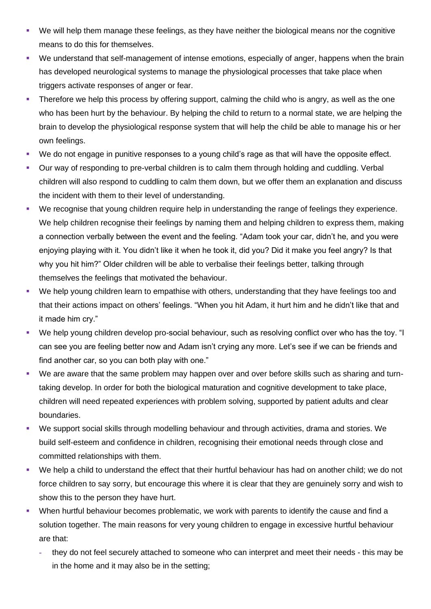- We will help them manage these feelings, as they have neither the biological means nor the cognitive means to do this for themselves.
- We understand that self-management of intense emotions, especially of anger, happens when the brain has developed neurological systems to manage the physiological processes that take place when triggers activate responses of anger or fear.
- **•** Therefore we help this process by offering support, calming the child who is angry, as well as the one who has been hurt by the behaviour. By helping the child to return to a normal state, we are helping the brain to develop the physiological response system that will help the child be able to manage his or her own feelings.
- We do not engage in punitive responses to a young child's rage as that will have the opposite effect.
- Our way of responding to pre-verbal children is to calm them through holding and cuddling. Verbal children will also respond to cuddling to calm them down, but we offer them an explanation and discuss the incident with them to their level of understanding.
- We recognise that young children require help in understanding the range of feelings they experience. We help children recognise their feelings by naming them and helping children to express them, making a connection verbally between the event and the feeling. "Adam took your car, didn't he, and you were enjoying playing with it. You didn't like it when he took it, did you? Did it make you feel angry? Is that why you hit him?" Older children will be able to verbalise their feelings better, talking through themselves the feelings that motivated the behaviour.
- We help young children learn to empathise with others, understanding that they have feelings too and that their actions impact on others' feelings. "When you hit Adam, it hurt him and he didn't like that and it made him cry."
- We help young children develop pro-social behaviour, such as resolving conflict over who has the toy. "I can see you are feeling better now and Adam isn't crying any more. Let's see if we can be friends and find another car, so you can both play with one."
- We are aware that the same problem may happen over and over before skills such as sharing and turntaking develop. In order for both the biological maturation and cognitive development to take place, children will need repeated experiences with problem solving, supported by patient adults and clear boundaries.
- We support social skills through modelling behaviour and through activities, drama and stories. We build self-esteem and confidence in children, recognising their emotional needs through close and committed relationships with them.
- We help a child to understand the effect that their hurtful behaviour has had on another child; we do not force children to say sorry, but encourage this where it is clear that they are genuinely sorry and wish to show this to the person they have hurt.
- When hurtful behaviour becomes problematic, we work with parents to identify the cause and find a solution together. The main reasons for very young children to engage in excessive hurtful behaviour are that:
	- **-** they do not feel securely attached to someone who can interpret and meet their needs this may be in the home and it may also be in the setting;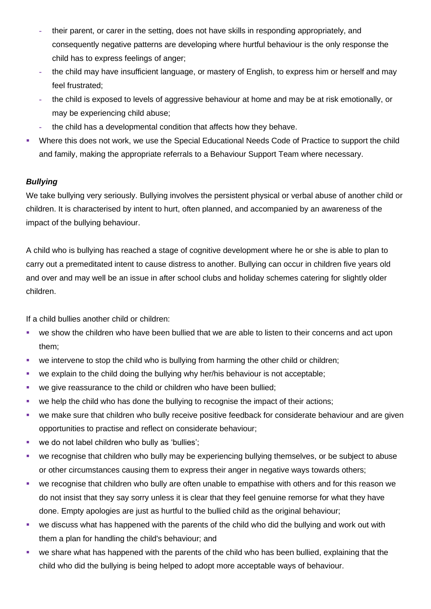- **-** their parent, or carer in the setting, does not have skills in responding appropriately, and consequently negative patterns are developing where hurtful behaviour is the only response the child has to express feelings of anger;
- **-** the child may have insufficient language, or mastery of English, to express him or herself and may feel frustrated;
- **-** the child is exposed to levels of aggressive behaviour at home and may be at risk emotionally, or may be experiencing child abuse;
- **-** the child has a developmental condition that affects how they behave.
- Where this does not work, we use the Special Educational Needs Code of Practice to support the child and family, making the appropriate referrals to a Behaviour Support Team where necessary.

## *Bullying*

We take bullying very seriously. Bullying involves the persistent physical or verbal abuse of another child or children. It is characterised by intent to hurt, often planned, and accompanied by an awareness of the impact of the bullying behaviour.

A child who is bullying has reached a stage of cognitive development where he or she is able to plan to carry out a premeditated intent to cause distress to another. Bullying can occur in children five years old and over and may well be an issue in after school clubs and holiday schemes catering for slightly older children.

If a child bullies another child or children:

- we show the children who have been bullied that we are able to listen to their concerns and act upon them;
- we intervene to stop the child who is bullying from harming the other child or children;
- we explain to the child doing the bullying why her/his behaviour is not acceptable;
- we give reassurance to the child or children who have been bullied;
- we help the child who has done the bullying to recognise the impact of their actions;
- we make sure that children who bully receive positive feedback for considerate behaviour and are given opportunities to practise and reflect on considerate behaviour;
- we do not label children who bully as 'bullies';
- we recognise that children who bully may be experiencing bullying themselves, or be subject to abuse or other circumstances causing them to express their anger in negative ways towards others;
- we recognise that children who bully are often unable to empathise with others and for this reason we do not insist that they say sorry unless it is clear that they feel genuine remorse for what they have done. Empty apologies are just as hurtful to the bullied child as the original behaviour;
- we discuss what has happened with the parents of the child who did the bullying and work out with them a plan for handling the child's behaviour; and
- we share what has happened with the parents of the child who has been bullied, explaining that the child who did the bullying is being helped to adopt more acceptable ways of behaviour.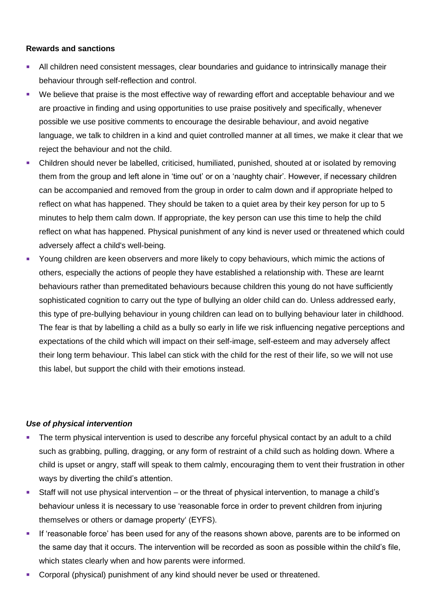#### **Rewards and sanctions**

- All children need consistent messages, clear boundaries and guidance to intrinsically manage their behaviour through self-reflection and control.
- We believe that praise is the most effective way of rewarding effort and acceptable behaviour and we are proactive in finding and using opportunities to use praise positively and specifically, whenever possible we use positive comments to encourage the desirable behaviour, and avoid negative language, we talk to children in a kind and quiet controlled manner at all times, we make it clear that we reject the behaviour and not the child.
- Children should never be labelled, criticised, humiliated, punished, shouted at or isolated by removing them from the group and left alone in 'time out' or on a 'naughty chair'. However, if necessary children can be accompanied and removed from the group in order to calm down and if appropriate helped to reflect on what has happened. They should be taken to a quiet area by their key person for up to 5 minutes to help them calm down. If appropriate, the key person can use this time to help the child reflect on what has happened. Physical punishment of any kind is never used or threatened which could adversely affect a child's well-being.
- **EXECT** Young children are keen observers and more likely to copy behaviours, which mimic the actions of others, especially the actions of people they have established a relationship with. These are learnt behaviours rather than premeditated behaviours because children this young do not have sufficiently sophisticated cognition to carry out the type of bullying an older child can do. Unless addressed early, this type of pre-bullying behaviour in young children can lead on to bullying behaviour later in childhood. The fear is that by labelling a child as a bully so early in life we risk influencing negative perceptions and expectations of the child which will impact on their self-image, self-esteem and may adversely affect their long term behaviour. This label can stick with the child for the rest of their life, so we will not use this label, but support the child with their emotions instead.

#### *Use of physical intervention*

- The term physical intervention is used to describe any forceful physical contact by an adult to a child such as grabbing, pulling, dragging, or any form of restraint of a child such as holding down. Where a child is upset or angry, staff will speak to them calmly, encouraging them to vent their frustration in other ways by diverting the child's attention.
- Staff will not use physical intervention or the threat of physical intervention, to manage a child's behaviour unless it is necessary to use 'reasonable force in order to prevent children from injuring themselves or others or damage property' (EYFS).
- **EXT** If 'reasonable force' has been used for any of the reasons shown above, parents are to be informed on the same day that it occurs. The intervention will be recorded as soon as possible within the child's file, which states clearly when and how parents were informed.
- Corporal (physical) punishment of any kind should never be used or threatened.